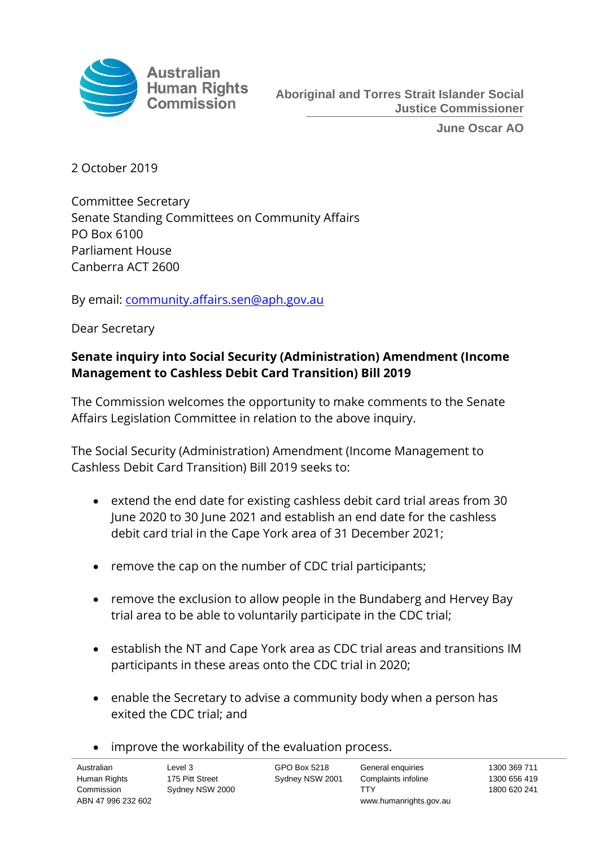

**June Oscar AO**

2 October 2019

Committee Secretary Senate Standing Committees on Community Affairs PO Box 6100 Parliament House Canberra ACT 2600

By email: [community.affairs.sen@aph.gov.au](mailto:community.affairs.sen@aph.gov.au)

Dear Secretary

# **Senate inquiry into Social Security (Administration) Amendment (Income Management to Cashless Debit Card Transition) Bill 2019**

The Commission welcomes the opportunity to make comments to the Senate Affairs Legislation Committee in relation to the above inquiry.

The Social Security (Administration) Amendment (Income Management to Cashless Debit Card Transition) Bill 2019 seeks to:

- extend the end date for existing cashless debit card trial areas from 30 June 2020 to 30 June 2021 and establish an end date for the cashless debit card trial in the Cape York area of 31 December 2021;
- remove the cap on the number of CDC trial participants;
- remove the exclusion to allow people in the Bundaberg and Hervey Bay trial area to be able to voluntarily participate in the CDC trial;
- establish the NT and Cape York area as CDC trial areas and transitions IM participants in these areas onto the CDC trial in 2020;
- enable the Secretary to advise a community body when a person has exited the CDC trial; and
- improve the workability of the evaluation process.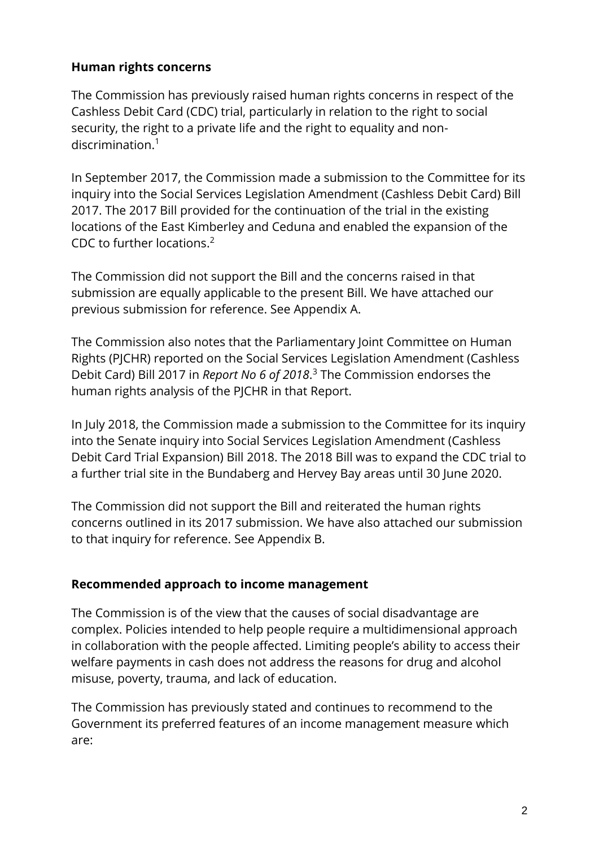## **Human rights concerns**

The Commission has previously raised human rights concerns in respect of the Cashless Debit Card (CDC) trial, particularly in relation to the right to social security, the right to a private life and the right to equality and nondiscrimination.<sup>1</sup>

In September 2017, the Commission made a submission to the Committee for its inquiry into the Social Services Legislation Amendment (Cashless Debit Card) Bill 2017. The 2017 Bill provided for the continuation of the trial in the existing locations of the East Kimberley and Ceduna and enabled the expansion of the CDC to further locations. 2

The Commission did not support the Bill and the concerns raised in that submission are equally applicable to the present Bill. We have attached our previous submission for reference. See Appendix A.

The Commission also notes that the Parliamentary Joint Committee on Human Rights (PJCHR) reported on the Social Services Legislation Amendment (Cashless Debit Card) Bill 2017 in *Report No 6 of 2018*. <sup>3</sup> The Commission endorses the human rights analysis of the PJCHR in that Report.

In July 2018, the Commission made a submission to the Committee for its inquiry into the Senate inquiry into Social Services Legislation Amendment (Cashless Debit Card Trial Expansion) Bill 2018. The 2018 Bill was to expand the CDC trial to a further trial site in the Bundaberg and Hervey Bay areas until 30 June 2020.

The Commission did not support the Bill and reiterated the human rights concerns outlined in its 2017 submission. We have also attached our submission to that inquiry for reference. See Appendix B.

## **Recommended approach to income management**

The Commission is of the view that the causes of social disadvantage are complex. Policies intended to help people require a multidimensional approach in collaboration with the people affected. Limiting people's ability to access their welfare payments in cash does not address the reasons for drug and alcohol misuse, poverty, trauma, and lack of education.

The Commission has previously stated and continues to recommend to the Government its preferred features of an income management measure which are: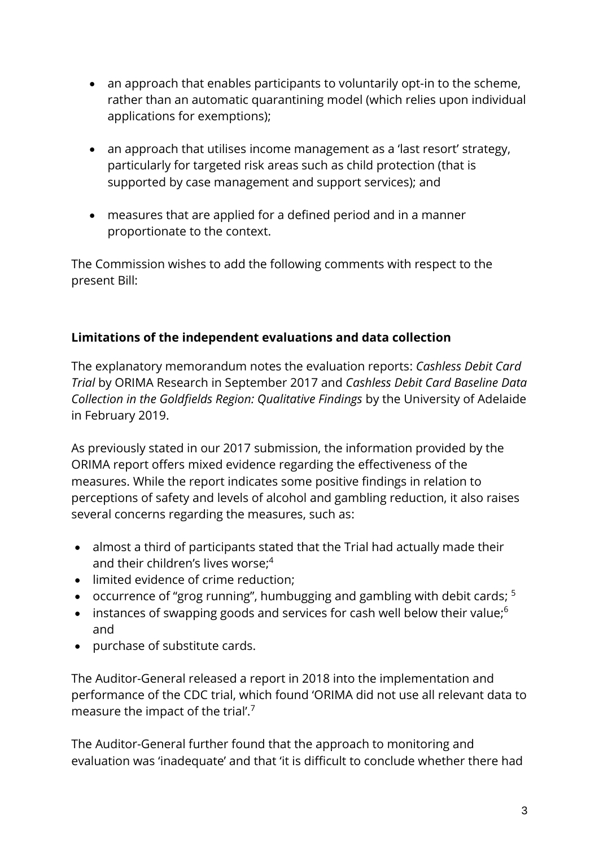- an approach that enables participants to voluntarily opt-in to the scheme, rather than an automatic quarantining model (which relies upon individual applications for exemptions);
- an approach that utilises income management as a 'last resort' strategy, particularly for targeted risk areas such as child protection (that is supported by case management and support services); and
- measures that are applied for a defined period and in a manner proportionate to the context.

The Commission wishes to add the following comments with respect to the present Bill:

# **Limitations of the independent evaluations and data collection**

The explanatory memorandum notes the evaluation reports: *Cashless Debit Card Trial* by ORIMA Research in September 2017 and *Cashless Debit Card Baseline Data Collection in the Goldfields Region: Qualitative Findings* by the University of Adelaide in February 2019.

As previously stated in our 2017 submission, the information provided by the ORIMA report offers mixed evidence regarding the effectiveness of the measures. While the report indicates some positive findings in relation to perceptions of safety and levels of alcohol and gambling reduction, it also raises several concerns regarding the measures, such as:

- almost a third of participants stated that the Trial had actually made their and their children's lives worse; 4
- limited evidence of crime reduction;
- occurrence of "grog running", humbugging and gambling with debit cards; <sup>5</sup>
- $\bullet$  instances of swapping goods and services for cash well below their value;<sup>6</sup> and
- purchase of substitute cards.

The Auditor-General released a report in 2018 into the implementation and performance of the CDC trial, which found 'ORIMA did not use all relevant data to measure the impact of the trial'.<sup>7</sup>

The Auditor-General further found that the approach to monitoring and evaluation was 'inadequate' and that 'it is difficult to conclude whether there had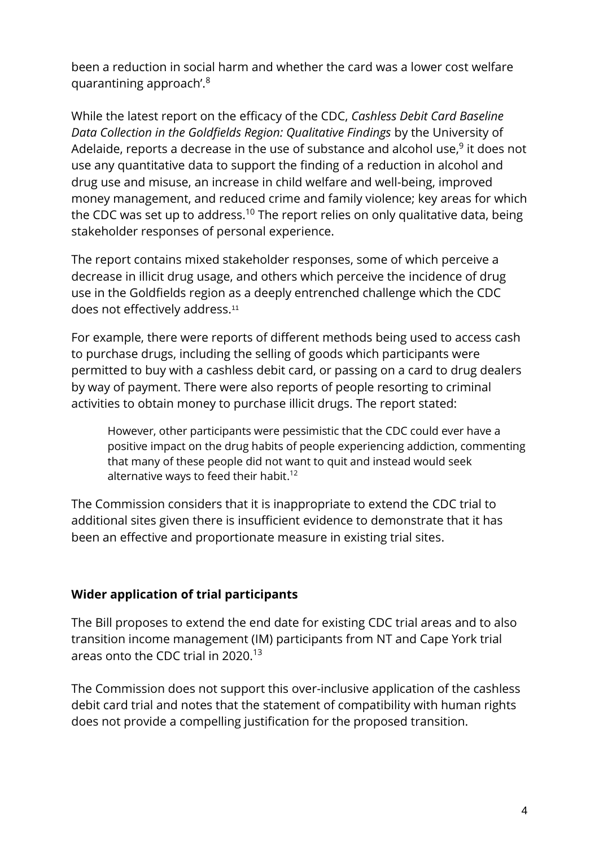been a reduction in social harm and whether the card was a lower cost welfare quarantining approach'.<sup>8</sup>

While the latest report on the efficacy of the CDC, *Cashless Debit Card Baseline Data Collection in the Goldfields Region: Qualitative Findings* by the University of Adelaide, reports a decrease in the use of substance and alcohol use, $^9$  it does not use any quantitative data to support the finding of a reduction in alcohol and drug use and misuse, an increase in child welfare and well-being, improved money management, and reduced crime and family violence; key areas for which the CDC was set up to address.<sup>10</sup> The report relies on only qualitative data, being stakeholder responses of personal experience.

The report contains mixed stakeholder responses, some of which perceive a decrease in illicit drug usage, and others which perceive the incidence of drug use in the Goldfields region as a deeply entrenched challenge which the CDC does not effectively address.<sup>11</sup>

For example, there were reports of different methods being used to access cash to purchase drugs, including the selling of goods which participants were permitted to buy with a cashless debit card, or passing on a card to drug dealers by way of payment. There were also reports of people resorting to criminal activities to obtain money to purchase illicit drugs. The report stated:

However, other participants were pessimistic that the CDC could ever have a positive impact on the drug habits of people experiencing addiction, commenting that many of these people did not want to quit and instead would seek alternative ways to feed their habit.<sup>12</sup>

The Commission considers that it is inappropriate to extend the CDC trial to additional sites given there is insufficient evidence to demonstrate that it has been an effective and proportionate measure in existing trial sites.

## **Wider application of trial participants**

The Bill proposes to extend the end date for existing CDC trial areas and to also transition income management (IM) participants from NT and Cape York trial areas onto the CDC trial in 2020.<sup>13</sup>

The Commission does not support this over-inclusive application of the cashless debit card trial and notes that the statement of compatibility with human rights does not provide a compelling justification for the proposed transition.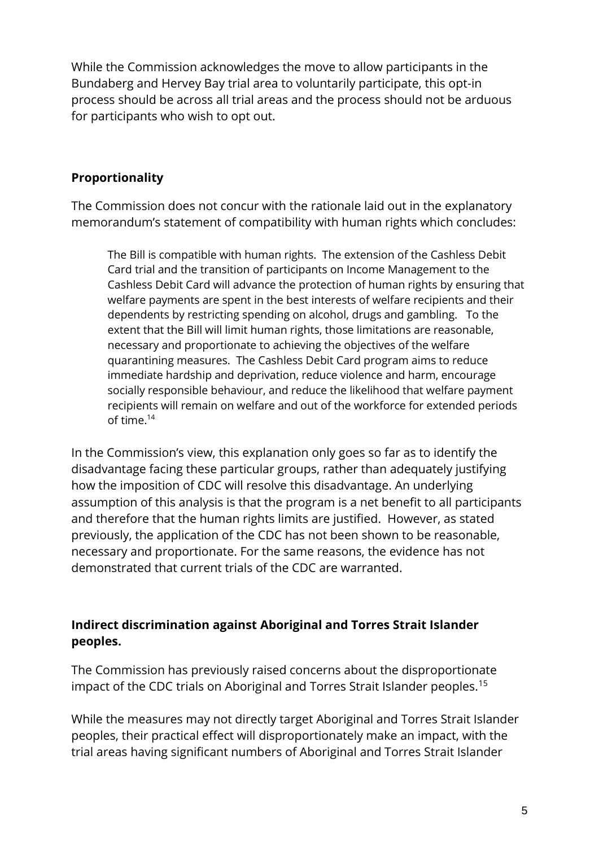While the Commission acknowledges the move to allow participants in the Bundaberg and Hervey Bay trial area to voluntarily participate, this opt-in process should be across all trial areas and the process should not be arduous for participants who wish to opt out.

# **Proportionality**

The Commission does not concur with the rationale laid out in the explanatory memorandum's statement of compatibility with human rights which concludes:

The Bill is compatible with human rights. The extension of the Cashless Debit Card trial and the transition of participants on Income Management to the Cashless Debit Card will advance the protection of human rights by ensuring that welfare payments are spent in the best interests of welfare recipients and their dependents by restricting spending on alcohol, drugs and gambling. To the extent that the Bill will limit human rights, those limitations are reasonable, necessary and proportionate to achieving the objectives of the welfare quarantining measures. The Cashless Debit Card program aims to reduce immediate hardship and deprivation, reduce violence and harm, encourage socially responsible behaviour, and reduce the likelihood that welfare payment recipients will remain on welfare and out of the workforce for extended periods of time.<sup>14</sup>

In the Commission's view, this explanation only goes so far as to identify the disadvantage facing these particular groups, rather than adequately justifying how the imposition of CDC will resolve this disadvantage. An underlying assumption of this analysis is that the program is a net benefit to all participants and therefore that the human rights limits are justified. However, as stated previously, the application of the CDC has not been shown to be reasonable, necessary and proportionate. For the same reasons, the evidence has not demonstrated that current trials of the CDC are warranted.

# **Indirect discrimination against Aboriginal and Torres Strait Islander peoples.**

The Commission has previously raised concerns about the disproportionate impact of the CDC trials on Aboriginal and Torres Strait Islander peoples.<sup>15</sup>

While the measures may not directly target Aboriginal and Torres Strait Islander peoples, their practical effect will disproportionately make an impact, with the trial areas having significant numbers of Aboriginal and Torres Strait Islander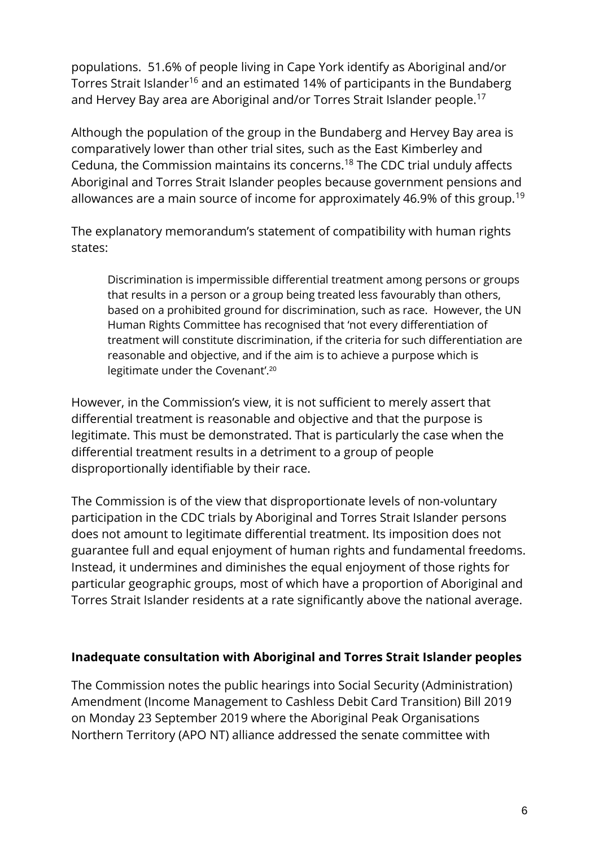populations. 51.6% of people living in Cape York identify as Aboriginal and/or Torres Strait Islander<sup>16</sup> and an estimated 14% of participants in the Bundaberg and Hervey Bay area are Aboriginal and/or Torres Strait Islander people.<sup>17</sup>

Although the population of the group in the Bundaberg and Hervey Bay area is comparatively lower than other trial sites, such as the East Kimberley and Ceduna, the Commission maintains its concerns.<sup>18</sup> The CDC trial unduly affects Aboriginal and Torres Strait Islander peoples because government pensions and allowances are a main source of income for approximately 46.9% of this group.<sup>19</sup>

The explanatory memorandum's statement of compatibility with human rights states:

Discrimination is impermissible differential treatment among persons or groups that results in a person or a group being treated less favourably than others, based on a prohibited ground for discrimination, such as race. However, the UN Human Rights Committee has recognised that 'not every differentiation of treatment will constitute discrimination, if the criteria for such differentiation are reasonable and objective, and if the aim is to achieve a purpose which is legitimate under the Covenant'.<sup>20</sup>

However, in the Commission's view, it is not sufficient to merely assert that differential treatment is reasonable and objective and that the purpose is legitimate. This must be demonstrated. That is particularly the case when the differential treatment results in a detriment to a group of people disproportionally identifiable by their race.

The Commission is of the view that disproportionate levels of non-voluntary participation in the CDC trials by Aboriginal and Torres Strait Islander persons does not amount to legitimate differential treatment. Its imposition does not guarantee full and equal enjoyment of human rights and fundamental freedoms. Instead, it undermines and diminishes the equal enjoyment of those rights for particular geographic groups, most of which have a proportion of Aboriginal and Torres Strait Islander residents at a rate significantly above the national average.

## **Inadequate consultation with Aboriginal and Torres Strait Islander peoples**

The Commission notes the public hearings into Social Security (Administration) Amendment (Income Management to Cashless Debit Card Transition) Bill 2019 on Monday 23 September 2019 where the Aboriginal Peak Organisations Northern Territory (APO NT) alliance addressed the senate committee with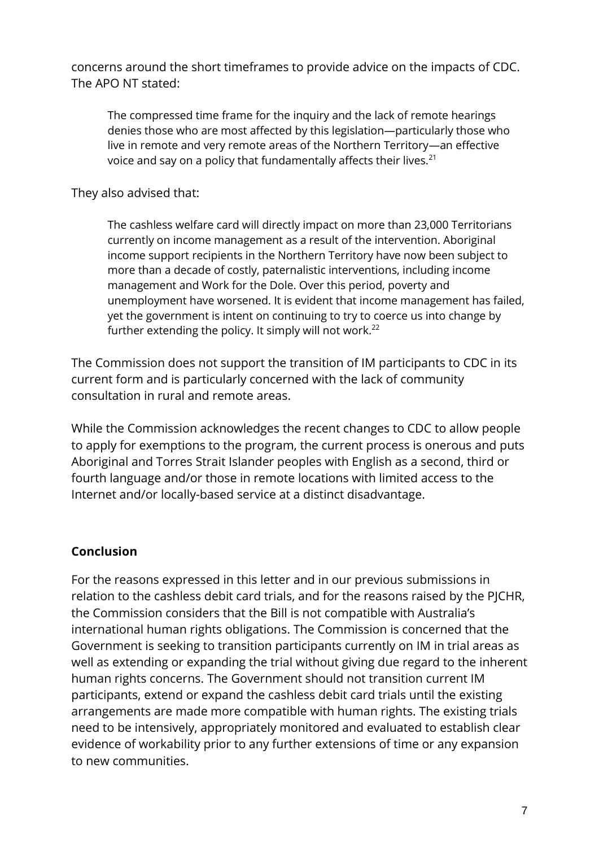concerns around the short timeframes to provide advice on the impacts of CDC. The APO NT stated:

The compressed time frame for the inquiry and the lack of remote hearings denies those who are most affected by this legislation—particularly those who live in remote and very remote areas of the Northern Territory—an effective voice and say on a policy that fundamentally affects their lives.<sup>21</sup>

They also advised that:

The cashless welfare card will directly impact on more than 23,000 Territorians currently on income management as a result of the intervention. Aboriginal income support recipients in the Northern Territory have now been subject to more than a decade of costly, paternalistic interventions, including income management and Work for the Dole. Over this period, poverty and unemployment have worsened. It is evident that income management has failed, yet the government is intent on continuing to try to coerce us into change by further extending the policy. It simply will not work.<sup>22</sup>

The Commission does not support the transition of IM participants to CDC in its current form and is particularly concerned with the lack of community consultation in rural and remote areas.

While the Commission acknowledges the recent changes to CDC to allow people to apply for exemptions to the program, the current process is onerous and puts Aboriginal and Torres Strait Islander peoples with English as a second, third or fourth language and/or those in remote locations with limited access to the Internet and/or locally-based service at a distinct disadvantage.

## **Conclusion**

For the reasons expressed in this letter and in our previous submissions in relation to the cashless debit card trials, and for the reasons raised by the PJCHR, the Commission considers that the Bill is not compatible with Australia's international human rights obligations. The Commission is concerned that the Government is seeking to transition participants currently on IM in trial areas as well as extending or expanding the trial without giving due regard to the inherent human rights concerns. The Government should not transition current IM participants, extend or expand the cashless debit card trials until the existing arrangements are made more compatible with human rights. The existing trials need to be intensively, appropriately monitored and evaluated to establish clear evidence of workability prior to any further extensions of time or any expansion to new communities.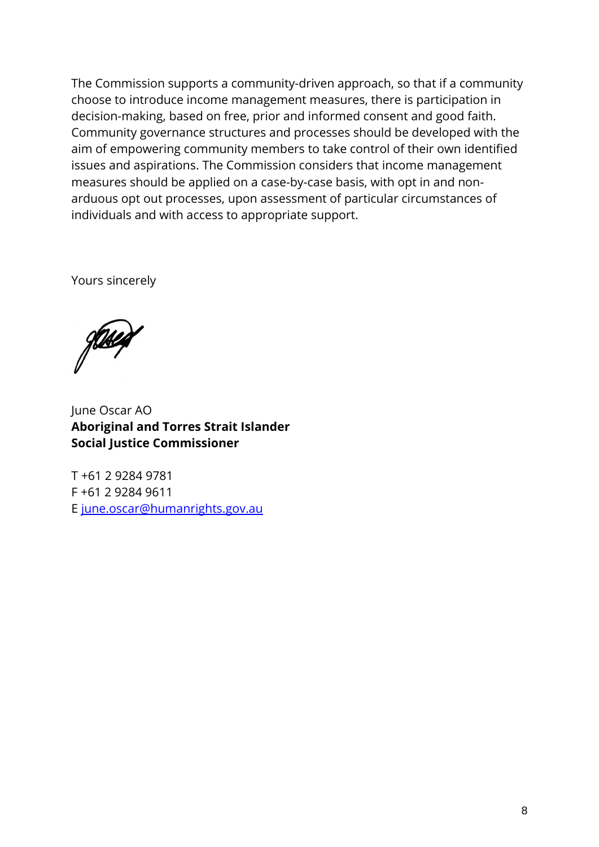The Commission supports a community-driven approach, so that if a community choose to introduce income management measures, there is participation in decision-making, based on free, prior and informed consent and good faith. Community governance structures and processes should be developed with the aim of empowering community members to take control of their own identified issues and aspirations. The Commission considers that income management measures should be applied on a case-by-case basis, with opt in and nonarduous opt out processes, upon assessment of particular circumstances of individuals and with access to appropriate support.

Yours sincerely

June Oscar AO **Aboriginal and Torres Strait Islander Social Justice Commissioner**

T +61 2 9284 9781 F +61 2 9284 9611 E [june.oscar@humanrights.gov.au](mailto:mick.gooda@humanrights.gov.au)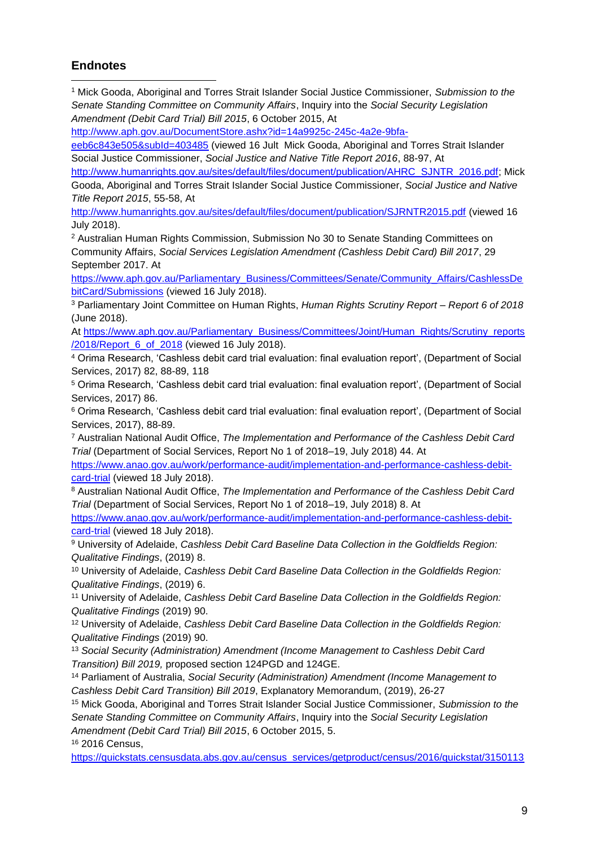#### **Endnotes**

<sup>1</sup> Mick Gooda, Aboriginal and Torres Strait Islander Social Justice Commissioner, *Submission to the Senate Standing Committee on Community Affairs*, Inquiry into the *Social Security Legislation Amendment (Debit Card Trial) Bill 2015*, 6 October 2015, At

[http://www.aph.gov.au/DocumentStore.ashx?id=14a9925c-245c-4a2e-9bfa-](http://www.aph.gov.au/DocumentStore.ashx?id=14a9925c-245c-4a2e-9bfa-eeb6c843e505&subId=403485)

[eeb6c843e505&subId=403485](http://www.aph.gov.au/DocumentStore.ashx?id=14a9925c-245c-4a2e-9bfa-eeb6c843e505&subId=403485) (viewed 16 Jult Mick Gooda, Aboriginal and Torres Strait Islander Social Justice Commissioner, *Social Justice and Native Title Report 2016*, 88-97, At

[http://www.humanrights.gov.au/sites/default/files/document/publication/AHRC\\_SJNTR\\_2016.pdf;](http://www.humanrights.gov.au/sites/default/files/document/publication/AHRC_SJNTR_2016.pdf) Mick Gooda, Aboriginal and Torres Strait Islander Social Justice Commissioner, *Social Justice and Native Title Report 2015*, 55-58, At

<http://www.humanrights.gov.au/sites/default/files/document/publication/SJRNTR2015.pdf> (viewed 16 July 2018).

<sup>2</sup> Australian Human Rights Commission, Submission No 30 to Senate Standing Committees on Community Affairs, *Social Services Legislation Amendment (Cashless Debit Card) Bill 2017*, 29 September 2017. At

[https://www.aph.gov.au/Parliamentary\\_Business/Committees/Senate/Community\\_Affairs/CashlessDe](https://www.aph.gov.au/Parliamentary_Business/Committees/Senate/Community_Affairs/CashlessDebitCard/Submissions) [bitCard/Submissions](https://www.aph.gov.au/Parliamentary_Business/Committees/Senate/Community_Affairs/CashlessDebitCard/Submissions) (viewed 16 July 2018).

<sup>3</sup> Parliamentary Joint Committee on Human Rights, *Human Rights Scrutiny Report – Report 6 of 2018*  (June 2018).

At [https://www.aph.gov.au/Parliamentary\\_Business/Committees/Joint/Human\\_Rights/Scrutiny\\_reports](https://www.aph.gov.au/Parliamentary_Business/Committees/Joint/Human_Rights/Scrutiny_reports/2018/Report_6_of_2018) [/2018/Report\\_6\\_of\\_2018](https://www.aph.gov.au/Parliamentary_Business/Committees/Joint/Human_Rights/Scrutiny_reports/2018/Report_6_of_2018) (viewed 16 July 2018).

<sup>4</sup> Orima Research, 'Cashless debit card trial evaluation: final evaluation report', (Department of Social Services, 2017) 82, 88-89, 118

<sup>5</sup> Orima Research, 'Cashless debit card trial evaluation: final evaluation report', (Department of Social Services, 2017) 86.

<sup>6</sup> Orima Research, 'Cashless debit card trial evaluation: final evaluation report', (Department of Social Services, 2017), 88-89.

<sup>7</sup> Australian National Audit Office, *The Implementation and Performance of the Cashless Debit Card Trial* (Department of Social Services, Report No 1 of 2018–19, July 2018) 44. At

[https://www.anao.gov.au/work/performance-audit/implementation-and-performance-cashless-debit](https://www.anao.gov.au/work/performance-audit/implementation-and-performance-cashless-debit-card-trial)[card-trial](https://www.anao.gov.au/work/performance-audit/implementation-and-performance-cashless-debit-card-trial) (viewed 18 July 2018).

<sup>8</sup> Australian National Audit Office, *The Implementation and Performance of the Cashless Debit Card Trial* (Department of Social Services, Report No 1 of 2018–19, July 2018) 8. At

[https://www.anao.gov.au/work/performance-audit/implementation-and-performance-cashless-debit](https://www.anao.gov.au/work/performance-audit/implementation-and-performance-cashless-debit-card-trial)[card-trial](https://www.anao.gov.au/work/performance-audit/implementation-and-performance-cashless-debit-card-trial) (viewed 18 July 2018).

<sup>9</sup> University of Adelaide, *Cashless Debit Card Baseline Data Collection in the Goldfields Region: Qualitative Findings*, (2019) 8.

<sup>10</sup> University of Adelaide, *Cashless Debit Card Baseline Data Collection in the Goldfields Region: Qualitative Findings*, (2019) 6.

<sup>11</sup> University of Adelaide, *Cashless Debit Card Baseline Data Collection in the Goldfields Region: Qualitative Findings* (2019) 90.

<sup>12</sup> University of Adelaide, *Cashless Debit Card Baseline Data Collection in the Goldfields Region: Qualitative Findings* (2019) 90.

<sup>13</sup> *Social Security (Administration) Amendment (Income Management to Cashless Debit Card Transition) Bill 2019,* proposed section 124PGD and 124GE.

<sup>14</sup> Parliament of Australia, *Social Security (Administration) Amendment (Income Management to Cashless Debit Card Transition) Bill 2019*, Explanatory Memorandum, (2019), 26-27

<sup>15</sup> Mick Gooda, Aboriginal and Torres Strait Islander Social Justice Commissioner, *Submission to the Senate Standing Committee on Community Affairs*, Inquiry into the *Social Security Legislation Amendment (Debit Card Trial) Bill 2015*, 6 October 2015, 5.

<sup>16</sup> 2016 Census,

[https://quickstats.censusdata.abs.gov.au/census\\_services/getproduct/census/2016/quickstat/3150113](https://quickstats.censusdata.abs.gov.au/census_services/getproduct/census/2016/quickstat/315011396)